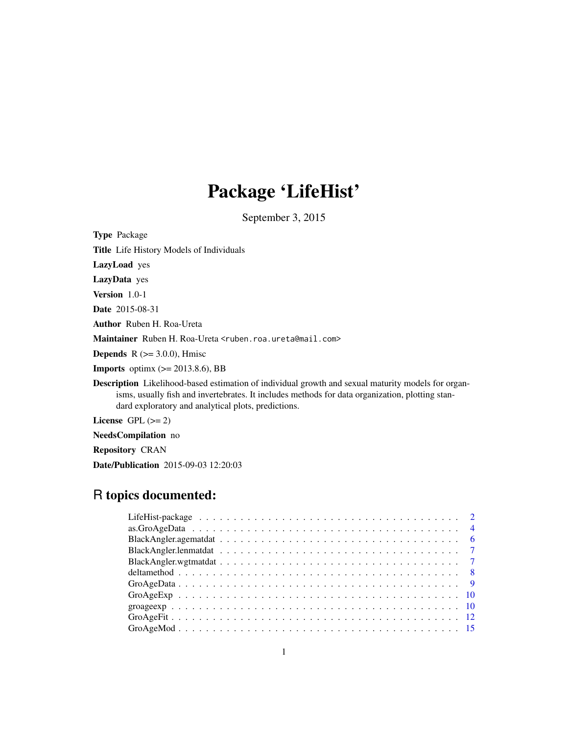# Package 'LifeHist'

September 3, 2015

Type Package Title Life History Models of Individuals LazyLoad yes LazyData yes Version 1.0-1 Date 2015-08-31 Author Ruben H. Roa-Ureta Maintainer Ruben H. Roa-Ureta <ruben.roa.ureta@mail.com> **Depends** R  $(>= 3.0.0)$ , Hmisc **Imports** optimx  $(>= 2013.8.6)$ , BB Description Likelihood-based estimation of individual growth and sexual maturity models for organisms, usually fish and invertebrates. It includes methods for data organization, plotting standard exploratory and analytical plots, predictions.

License GPL  $(>= 2)$ 

NeedsCompilation no

Repository CRAN

Date/Publication 2015-09-03 12:20:03

# R topics documented: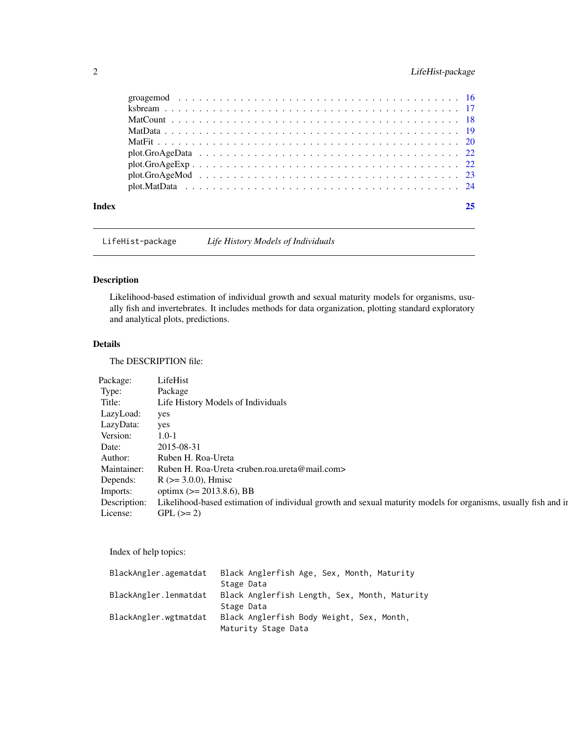# <span id="page-1-0"></span>2 LifeHist-package

| Index |  |
|-------|--|
|       |  |
|       |  |
|       |  |
|       |  |
|       |  |
|       |  |
|       |  |
|       |  |
|       |  |

LifeHist-package *Life History Models of Individuals*

# Description

Likelihood-based estimation of individual growth and sexual maturity models for organisms, usually fish and invertebrates. It includes methods for data organization, plotting standard exploratory and analytical plots, predictions.

# Details

The DESCRIPTION file:

| LifeHist                                                                                                       |
|----------------------------------------------------------------------------------------------------------------|
| Package                                                                                                        |
| Life History Models of Individuals                                                                             |
| yes                                                                                                            |
| yes                                                                                                            |
| $1.0 - 1$                                                                                                      |
| 2015-08-31                                                                                                     |
| Ruben H. Roa-Ureta                                                                                             |
| Ruben H. Roa-Ureta <ruben.roa.ureta@mail.com></ruben.roa.ureta@mail.com>                                       |
| $R$ ( $>=$ 3.0.0), Hmisc                                                                                       |
| optimx ( $> = 2013.8.6$ ), BB                                                                                  |
| Likelihood-based estimation of individual growth and sexual maturity models for organisms, usually fish and in |
| $GPL (= 2)$                                                                                                    |
|                                                                                                                |

Index of help topics:

| BlackAngler.agematdat | Black Anglerfish Age, Sex, Month, Maturity    |
|-----------------------|-----------------------------------------------|
|                       | Stage Data                                    |
| BlackAngler.lenmatdat | Black Anglerfish Length, Sex, Month, Maturity |
|                       | Stage Data                                    |
| BlackAngler.wgtmatdat | Black Anglerfish Body Weight, Sex, Month,     |
|                       | Maturity Stage Data                           |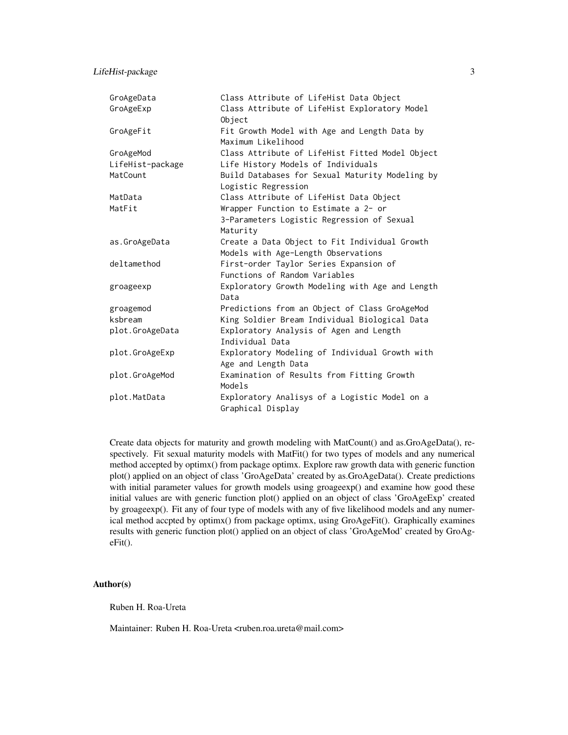LifeHist-package 3

| GroAgeData       | Class Attribute of LifeHist Data Object                            |
|------------------|--------------------------------------------------------------------|
| GroAgeExp        | Class Attribute of LifeHist Exploratory Model<br>Object            |
| GroAgeFit        | Fit Growth Model with Age and Length Data by<br>Maximum Likelihood |
| GroAgeMod        | Class Attribute of LifeHist Fitted Model Object                    |
| LifeHist-package | Life History Models of Individuals                                 |
| MatCount         | Build Databases for Sexual Maturity Modeling by                    |
|                  | Logistic Regression                                                |
| MatData          | Class Attribute of LifeHist Data Object                            |
| MatFit           | Wrapper Function to Estimate a 2- or                               |
|                  | 3-Parameters Logistic Regression of Sexual                         |
|                  | Maturity                                                           |
| as.GroAgeData    | Create a Data Object to Fit Individual Growth                      |
|                  | Models with Age-Length Observations                                |
| deltamethod      | First-order Taylor Series Expansion of                             |
|                  | Functions of Random Variables                                      |
| groageexp        | Exploratory Growth Modeling with Age and Length<br>Data            |
| groagemod        | Predictions from an Object of Class GroAgeMod                      |
| ksbream          | King Soldier Bream Individual Biological Data                      |
| plot.GroAgeData  | Exploratory Analysis of Agen and Length                            |
|                  | Individual Data                                                    |
| plot.GroAgeExp   | Exploratory Modeling of Individual Growth with                     |
|                  | Age and Length Data                                                |
| plot.GroAgeMod   | Examination of Results from Fitting Growth<br>Models               |
| plot.MatData     | Exploratory Analisys of a Logistic Model on a                      |
|                  | Graphical Display                                                  |

Create data objects for maturity and growth modeling with MatCount() and as.GroAgeData(), respectively. Fit sexual maturity models with MatFit() for two types of models and any numerical method accepted by optimx() from package optimx. Explore raw growth data with generic function plot() applied on an object of class 'GroAgeData' created by as.GroAgeData(). Create predictions with initial parameter values for growth models using groageexp() and examine how good these initial values are with generic function plot() applied on an object of class 'GroAgeExp' created by groageexp(). Fit any of four type of models with any of five likelihood models and any numerical method accpted by optimx() from package optimx, using GroAgeFit(). Graphically examines results with generic function plot() applied on an object of class 'GroAgeMod' created by GroAgeFit().

#### Author(s)

Ruben H. Roa-Ureta

Maintainer: Ruben H. Roa-Ureta <ruben.roa.ureta@mail.com>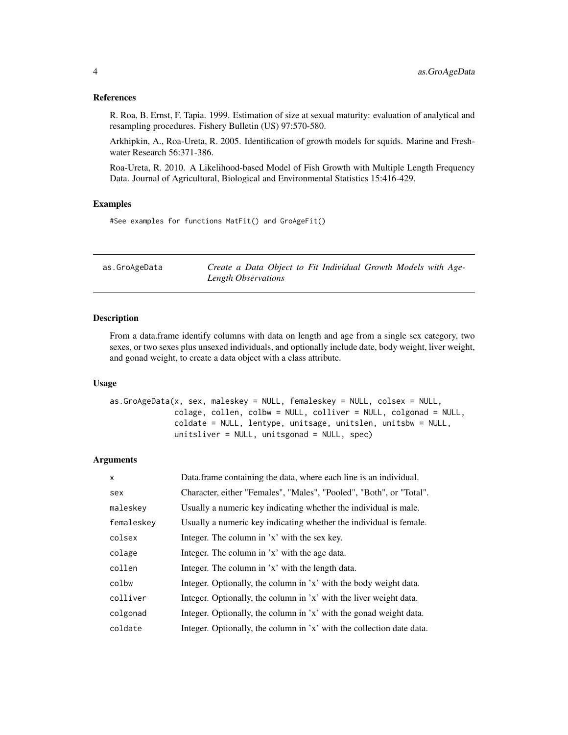#### <span id="page-3-0"></span>References

R. Roa, B. Ernst, F. Tapia. 1999. Estimation of size at sexual maturity: evaluation of analytical and resampling procedures. Fishery Bulletin (US) 97:570-580.

Arkhipkin, A., Roa-Ureta, R. 2005. Identification of growth models for squids. Marine and Freshwater Research 56:371-386.

Roa-Ureta, R. 2010. A Likelihood-based Model of Fish Growth with Multiple Length Frequency Data. Journal of Agricultural, Biological and Environmental Statistics 15:416-429.

# Examples

#See examples for functions MatFit() and GroAgeFit()

| as.GroAgeData | Create a Data Object to Fit Individual Growth Models with Age- |
|---------------|----------------------------------------------------------------|
|               | Length Observations                                            |

#### Description

From a data.frame identify columns with data on length and age from a single sex category, two sexes, or two sexes plus unsexed individuals, and optionally include date, body weight, liver weight, and gonad weight, to create a data object with a class attribute.

# Usage

```
as.GroAgeData(x, sex, maleskey = NULL, femaleskey = NULL, colsex = NULL,
             colage, collen, colbw = NULL, colliver = NULL, colgonad = NULL,
             coldate = NULL, lentype, unitsage, unitslen, unitsbw = NULL,
             unitsliver = NULL, unitsgonad = NULL, spec)
```
### Arguments

| X          | Data.frame containing the data, where each line is an individual.     |
|------------|-----------------------------------------------------------------------|
| sex        | Character, either "Females", "Males", "Pooled", "Both", or "Total".   |
| maleskey   | Usually a numeric key indicating whether the individual is male.      |
| femaleskey | Usually a numeric key indicating whether the individual is female.    |
| colsex     | Integer. The column in 'x' with the sex key.                          |
| colage     | Integer. The column in 'x' with the age data.                         |
| collen     | Integer. The column in 'x' with the length data.                      |
| colbw      | Integer. Optionally, the column in 'x' with the body weight data.     |
| colliver   | Integer. Optionally, the column in 'x' with the liver weight data.    |
| colgonad   | Integer. Optionally, the column in 'x' with the gonad weight data.    |
| coldate    | Integer. Optionally, the column in 'x' with the collection date data. |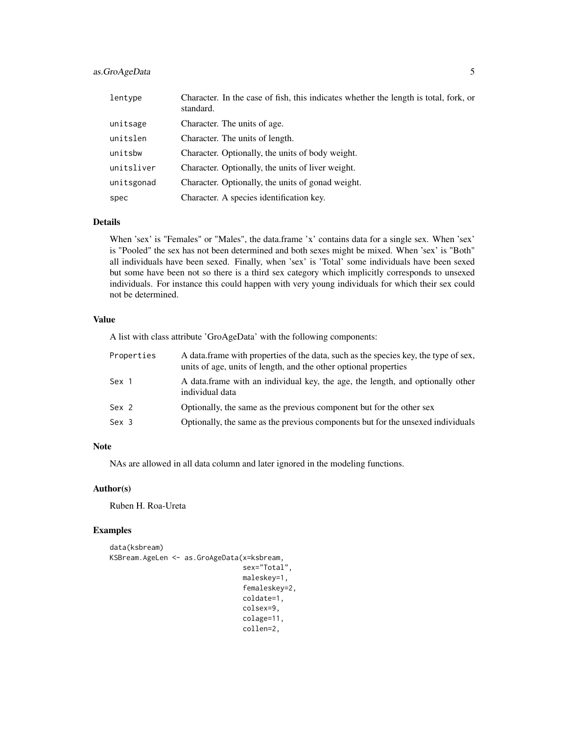# as.GroAgeData 5

| lentype    | Character. In the case of fish, this indicates whether the length is total, fork, or<br>standard. |
|------------|---------------------------------------------------------------------------------------------------|
| unitsage   | Character. The units of age.                                                                      |
| unitslen   | Character. The units of length.                                                                   |
| unitsbw    | Character. Optionally, the units of body weight.                                                  |
| unitsliver | Character. Optionally, the units of liver weight.                                                 |
| unitsgonad | Character. Optionally, the units of gonad weight.                                                 |
| spec       | Character. A species identification key.                                                          |

#### Details

When 'sex' is "Females" or "Males", the data.frame 'x' contains data for a single sex. When 'sex' is "Pooled" the sex has not been determined and both sexes might be mixed. When 'sex' is "Both" all individuals have been sexed. Finally, when 'sex' is 'Total' some individuals have been sexed but some have been not so there is a third sex category which implicitly corresponds to unsexed individuals. For instance this could happen with very young individuals for which their sex could not be determined.

#### Value

A list with class attribute 'GroAgeData' with the following components:

| Properties | A data frame with properties of the data, such as the species key, the type of sex,<br>units of age, units of length, and the other optional properties |
|------------|---------------------------------------------------------------------------------------------------------------------------------------------------------|
| Sex 1      | A data.frame with an individual key, the age, the length, and optionally other<br>individual data                                                       |
| Sex 2      | Optionally, the same as the previous component but for the other sex                                                                                    |
| Sex 3      | Optionally, the same as the previous components but for the unsexed individuals                                                                         |

# Note

NAs are allowed in all data column and later ignored in the modeling functions.

#### Author(s)

Ruben H. Roa-Ureta

# Examples

```
data(ksbream)
KSBream.AgeLen <- as.GroAgeData(x=ksbream,
                                sex="Total",
                                maleskey=1,
                                femaleskey=2,
                                coldate=1,
                                colsex=9,
                                colage=11,
                                collen=2,
```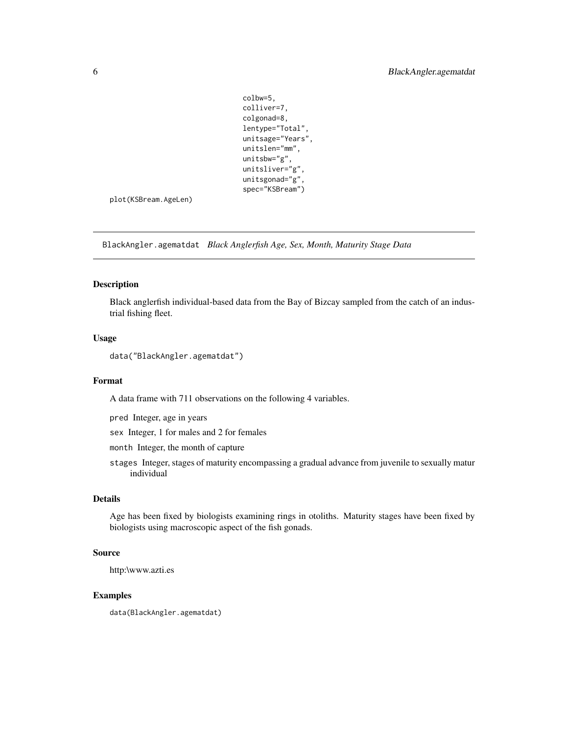```
colbw=5,
colliver=7,
colgonad=8,
lentype="Total",
unitsage="Years",
unitslen="mm",
unitsbw="g",
unitsliver="g",
unitsgonad="g",
spec="KSBream")
```
<span id="page-5-0"></span>plot(KSBream.AgeLen)

BlackAngler.agematdat *Black Anglerfish Age, Sex, Month, Maturity Stage Data*

#### Description

Black anglerfish individual-based data from the Bay of Bizcay sampled from the catch of an industrial fishing fleet.

#### Usage

data("BlackAngler.agematdat")

#### Format

A data frame with 711 observations on the following 4 variables.

pred Integer, age in years

sex Integer, 1 for males and 2 for females

month Integer, the month of capture

stages Integer, stages of maturity encompassing a gradual advance from juvenile to sexually matur individual

# Details

Age has been fixed by biologists examining rings in otoliths. Maturity stages have been fixed by biologists using macroscopic aspect of the fish gonads.

# Source

http:\www.azti.es

#### Examples

data(BlackAngler.agematdat)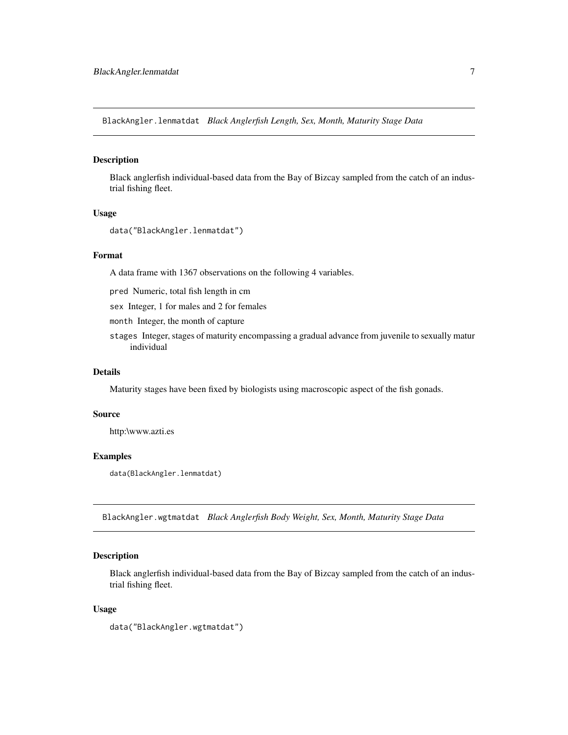<span id="page-6-0"></span>BlackAngler.lenmatdat *Black Anglerfish Length, Sex, Month, Maturity Stage Data*

#### Description

Black anglerfish individual-based data from the Bay of Bizcay sampled from the catch of an industrial fishing fleet.

# Usage

```
data("BlackAngler.lenmatdat")
```
# Format

A data frame with 1367 observations on the following 4 variables.

pred Numeric, total fish length in cm

sex Integer, 1 for males and 2 for females

month Integer, the month of capture

stages Integer, stages of maturity encompassing a gradual advance from juvenile to sexually matur individual

# Details

Maturity stages have been fixed by biologists using macroscopic aspect of the fish gonads.

#### Source

http:\www.azti.es

#### Examples

data(BlackAngler.lenmatdat)

BlackAngler.wgtmatdat *Black Anglerfish Body Weight, Sex, Month, Maturity Stage Data*

# Description

Black anglerfish individual-based data from the Bay of Bizcay sampled from the catch of an industrial fishing fleet.

#### Usage

data("BlackAngler.wgtmatdat")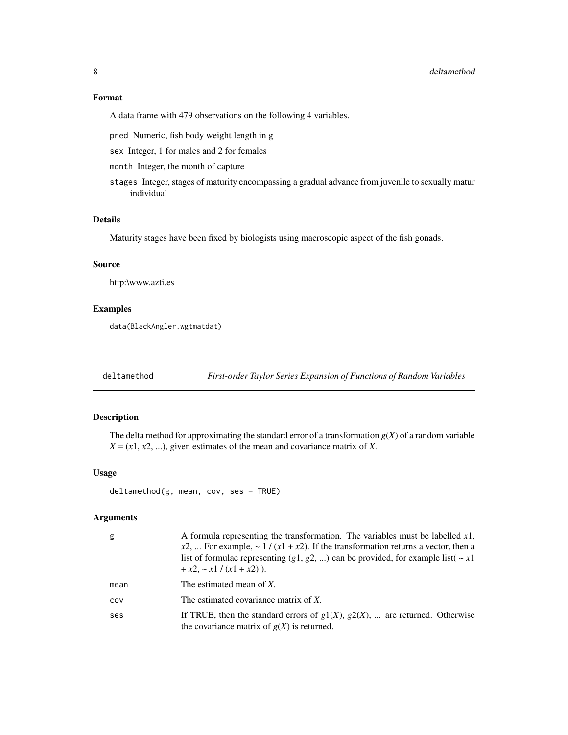#### <span id="page-7-0"></span>Format

A data frame with 479 observations on the following 4 variables.

pred Numeric, fish body weight length in g

sex Integer, 1 for males and 2 for females

month Integer, the month of capture

stages Integer, stages of maturity encompassing a gradual advance from juvenile to sexually matur individual

# Details

Maturity stages have been fixed by biologists using macroscopic aspect of the fish gonads.

#### Source

http:\www.azti.es

#### Examples

data(BlackAngler.wgtmatdat)

deltamethod *First-order Taylor Series Expansion of Functions of Random Variables*

# Description

The delta method for approximating the standard error of a transformation  $g(X)$  of a random variable  $X = (x1, x2, \ldots)$ , given estimates of the mean and covariance matrix of *X*.

#### Usage

```
deltamethod(g, mean, cov, ses = TRUE)
```
# Arguments

| g    | A formula representing the transformation. The variables must be labelled $x1$ ,<br>$x2$ ,  For example, ~ 1 / (x1 + x2). If the transformation returns a vector, then a<br>list of formulae representing (g1, g2, ) can be provided, for example list( $\sim x1$<br>$+x2, -x1/(x1 + x2)$ ). |
|------|----------------------------------------------------------------------------------------------------------------------------------------------------------------------------------------------------------------------------------------------------------------------------------------------|
| mean | The estimated mean of X.                                                                                                                                                                                                                                                                     |
| COV  | The estimated covariance matrix of X.                                                                                                                                                                                                                                                        |
| ses  | If TRUE, then the standard errors of $g1(X)$ , $g2(X)$ ,  are returned. Otherwise<br>the covariance matrix of $g(X)$ is returned.                                                                                                                                                            |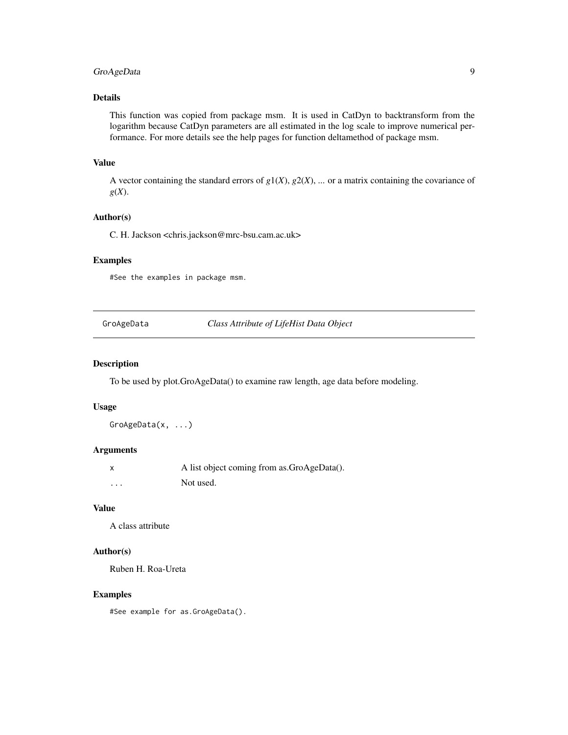# <span id="page-8-0"></span>GroAgeData 9

# Details

This function was copied from package msm. It is used in CatDyn to backtransform from the logarithm because CatDyn parameters are all estimated in the log scale to improve numerical performance. For more details see the help pages for function deltamethod of package msm.

### Value

A vector containing the standard errors of  $g1(X)$ ,  $g2(X)$ , ... or a matrix containing the covariance of *g*(*X*).

# Author(s)

C. H. Jackson <chris.jackson@mrc-bsu.cam.ac.uk>

# Examples

#See the examples in package msm.

GroAgeData *Class Attribute of LifeHist Data Object*

#### Description

To be used by plot.GroAgeData() to examine raw length, age data before modeling.

#### Usage

GroAgeData(x, ...)

# Arguments

|          | A list object coming from as.GroAgeData(). |
|----------|--------------------------------------------|
| $\cdots$ | Not used.                                  |

# Value

A class attribute

# Author(s)

Ruben H. Roa-Ureta

#### Examples

#See example for as.GroAgeData().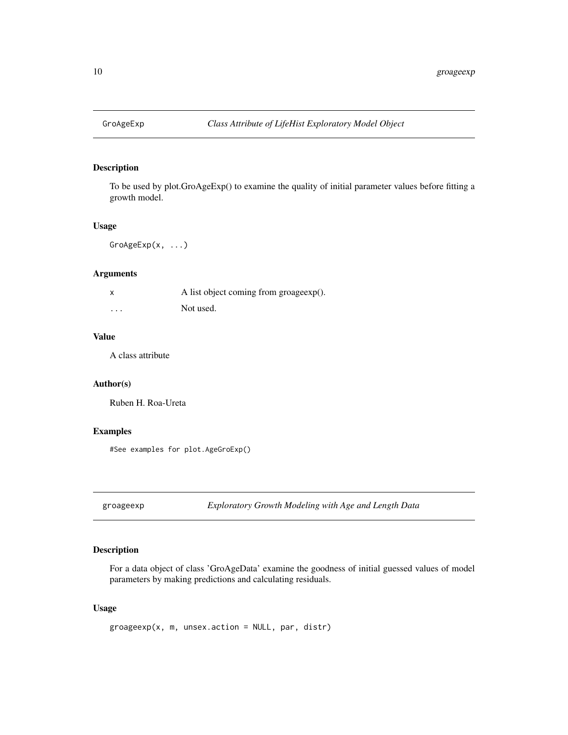<span id="page-9-0"></span>

To be used by plot.GroAgeExp() to examine the quality of initial parameter values before fitting a growth model.

# Usage

GroAgeExp(x, ...)

# Arguments

| X        | A list object coming from groageexp(). |
|----------|----------------------------------------|
| $\cdots$ | Not used.                              |

# Value

A class attribute

#### Author(s)

Ruben H. Roa-Ureta

# Examples

#See examples for plot.AgeGroExp()

groageexp *Exploratory Growth Modeling with Age and Length Data*

# Description

For a data object of class 'GroAgeData' examine the goodness of initial guessed values of model parameters by making predictions and calculating residuals.

# Usage

```
groageexp(x, m, unsex.action = NULL, par, distr)
```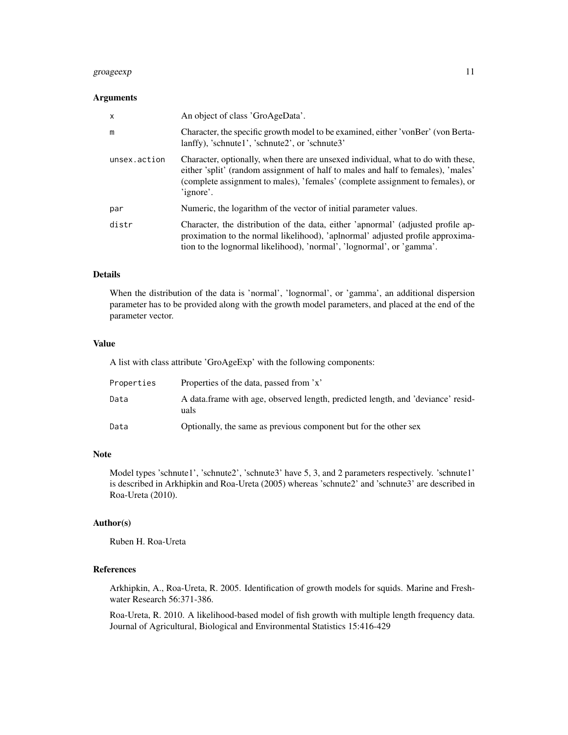# groageexp 11

#### **Arguments**

| $\mathsf{x}$ | An object of class 'GroAgeData'.                                                                                                                                                                                                                                    |
|--------------|---------------------------------------------------------------------------------------------------------------------------------------------------------------------------------------------------------------------------------------------------------------------|
| m            | Character, the specific growth model to be examined, either 'vonBer' (vonBerta-<br>lanffy), 'schnute1', 'schnute2', or 'schnute3'                                                                                                                                   |
| unsex.action | Character, optionally, when there are unsexed individual, what to do with these,<br>either 'split' (random assignment of half to males and half to females), 'males'<br>(complete assignment to males), 'females' (complete assignment to females), or<br>'ignore'. |
| par          | Numeric, the logarithm of the vector of initial parameter values.                                                                                                                                                                                                   |
| distr        | Character, the distribution of the data, either 'apnormal' (adjusted profile ap-<br>proximation to the normal likelihood), 'aplnormal' adjusted profile approxima-<br>tion to the lognormal likelihood), 'normal', 'lognormal', or 'gamma'.                         |

#### Details

When the distribution of the data is 'normal', 'lognormal', or 'gamma', an additional dispersion parameter has to be provided along with the growth model parameters, and placed at the end of the parameter vector.

#### Value

A list with class attribute 'GroAgeExp' with the following components:

| Properties | Properties of the data, passed from 'x'                                                 |
|------------|-----------------------------------------------------------------------------------------|
| Data       | A data frame with age, observed length, predicted length, and 'deviance' resid-<br>uals |
| Data       | Optionally, the same as previous component but for the other sex                        |

# Note

Model types 'schnute1', 'schnute2', 'schnute3' have 5, 3, and 2 parameters respectively. 'schnute1' is described in Arkhipkin and Roa-Ureta (2005) whereas 'schnute2' and 'schnute3' are described in Roa-Ureta (2010).

#### Author(s)

Ruben H. Roa-Ureta

# References

Arkhipkin, A., Roa-Ureta, R. 2005. Identification of growth models for squids. Marine and Freshwater Research 56:371-386.

Roa-Ureta, R. 2010. A likelihood-based model of fish growth with multiple length frequency data. Journal of Agricultural, Biological and Environmental Statistics 15:416-429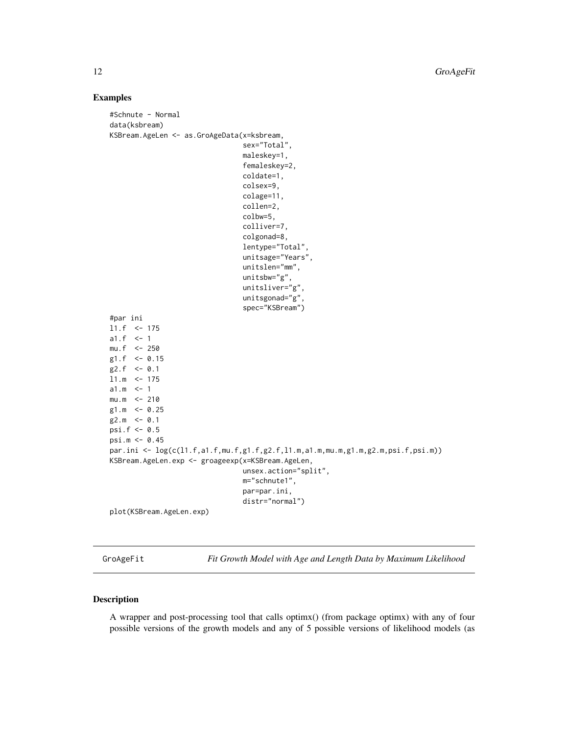<span id="page-11-0"></span>12 GroAgeFit

#### Examples

```
#Schnute - Normal
data(ksbream)
KSBream.AgeLen <- as.GroAgeData(x=ksbream,
                                sex="Total",
                                maleskey=1,
                                femaleskey=2,
                                coldate=1,
                                colsex=9,
                                colage=11,
                                collen=2,
                                colbw=5,
                                colliver=7,
                                colgonad=8,
                                lentype="Total",
                                unitsage="Years",
                                unitslen="mm",
                                unitsbw="g",
                                unitsliver="g",
                                unitsgonad="g",
                                spec="KSBream")
#par ini
l1.f <- 175
a1.f \le -1mu.f <- 250
g1.f <- 0.15
g2.f \le -0.111.m <- 175
a1.m < -1mu.m < -210g1.m <- 0.25
g2.m \le -0.1psi.f <- 0.5
psi.m <- 0.45
par.ini \leq log(c(l1.f,a1.f,mu.f,g1.f,g2.f,l1.m,a1.m,mu.m,g1.m,g2.m,psi.f,psi.m))
KSBream.AgeLen.exp <- groageexp(x=KSBream.AgeLen,
                                unsex.action="split",
                                m="schnute1",
                                par=par.ini,
                                distr="normal")
plot(KSBream.AgeLen.exp)
```
GroAgeFit *Fit Growth Model with Age and Length Data by Maximum Likelihood*

#### Description

A wrapper and post-processing tool that calls optimx() (from package optimx) with any of four possible versions of the growth models and any of 5 possible versions of likelihood models (as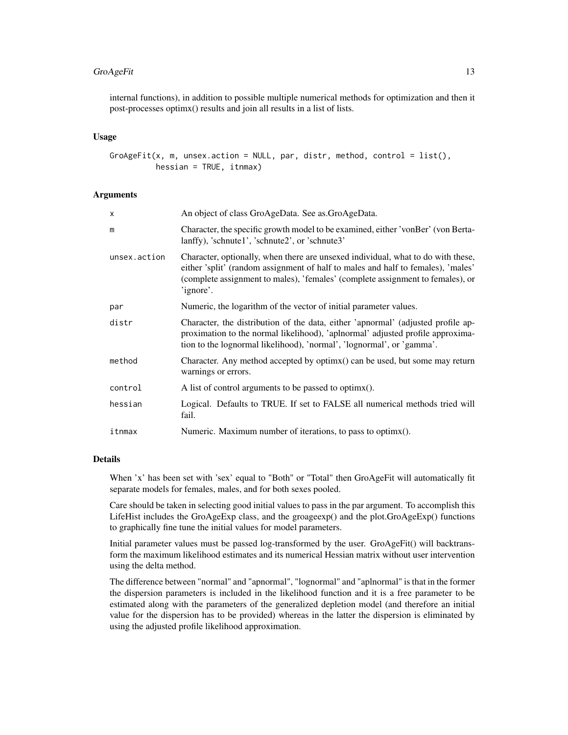# GroAgeFit 13

internal functions), in addition to possible multiple numerical methods for optimization and then it post-processes optimx() results and join all results in a list of lists.

#### Usage

GroAgeFit(x, m, unsex.action = NULL, par, distr, method, control = list(), hessian = TRUE, itnmax)

#### **Arguments**

| X            | An object of class GroAgeData. See as.GroAgeData.                                                                                                                                                                                                                   |
|--------------|---------------------------------------------------------------------------------------------------------------------------------------------------------------------------------------------------------------------------------------------------------------------|
| m            | Character, the specific growth model to be examined, either 'vonBer' (von Berta-<br>lanffy), 'schnute1', 'schnute2', or 'schnute3'                                                                                                                                  |
| unsex.action | Character, optionally, when there are unsexed individual, what to do with these,<br>either 'split' (random assignment of half to males and half to females), 'males'<br>(complete assignment to males), 'females' (complete assignment to females), or<br>'ignore'. |
| par          | Numeric, the logarithm of the vector of initial parameter values.                                                                                                                                                                                                   |
| distr        | Character, the distribution of the data, either 'apnormal' (adjusted profile ap-<br>proximation to the normal likelihood), 'aplnormal' adjusted profile approxima-<br>tion to the lognormal likelihood), 'normal', 'lognormal', or 'gamma'.                         |
| method       | Character. Any method accepted by optimx() can be used, but some may return<br>warnings or errors.                                                                                                                                                                  |
| control      | A list of control arguments to be passed to optimx().                                                                                                                                                                                                               |
| hessian      | Logical. Defaults to TRUE. If set to FALSE all numerical methods tried will<br>fail.                                                                                                                                                                                |
| itnmax       | Numeric. Maximum number of iterations, to pass to optimx().                                                                                                                                                                                                         |
|              |                                                                                                                                                                                                                                                                     |

# Details

When 'x' has been set with 'sex' equal to "Both" or "Total" then GroAgeFit will automatically fit separate models for females, males, and for both sexes pooled.

Care should be taken in selecting good initial values to pass in the par argument. To accomplish this LifeHist includes the GroAgeExp class, and the groageexp() and the plot.GroAgeExp() functions to graphically fine tune the initial values for model parameters.

Initial parameter values must be passed log-transformed by the user. GroAgeFit() will backtransform the maximum likelihood estimates and its numerical Hessian matrix without user intervention using the delta method.

The difference between "normal" and "apnormal", "lognormal" and "aplnormal" is that in the former the dispersion parameters is included in the likelihood function and it is a free parameter to be estimated along with the parameters of the generalized depletion model (and therefore an initial value for the dispersion has to be provided) whereas in the latter the dispersion is eliminated by using the adjusted profile likelihood approximation.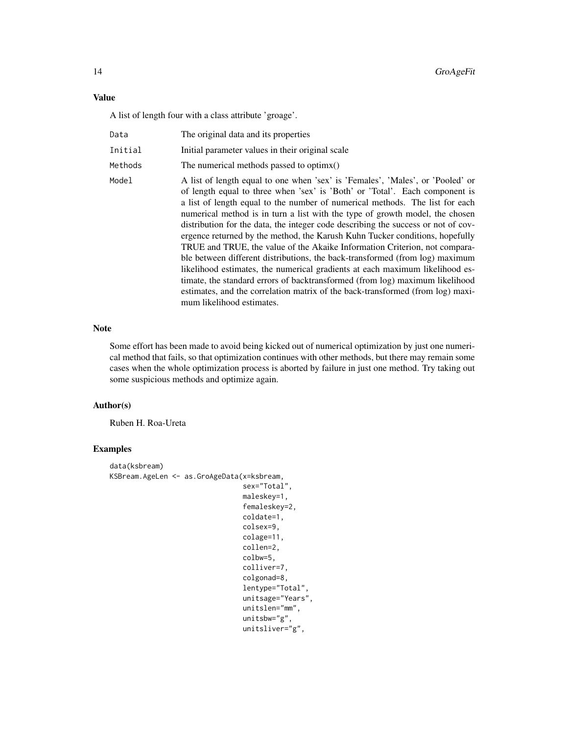#### Value

A list of length four with a class attribute 'groage'.

| Data | The original data and its properties |  |
|------|--------------------------------------|--|
|      |                                      |  |

Initial Initial parameter values in their original scale

Methods The numerical methods passed to optimx()

Model A list of length equal to one when 'sex' is 'Females', 'Males', or 'Pooled' or of length equal to three when 'sex' is 'Both' or 'Total'. Each component is a list of length equal to the number of numerical methods. The list for each numerical method is in turn a list with the type of growth model, the chosen distribution for the data, the integer code describing the success or not of covergence returned by the method, the Karush Kuhn Tucker conditions, hopefully TRUE and TRUE, the value of the Akaike Information Criterion, not comparable between different distributions, the back-transformed (from log) maximum likelihood estimates, the numerical gradients at each maximum likelihood estimate, the standard errors of backtransformed (from log) maximum likelihood estimates, and the correlation matrix of the back-transformed (from log) maximum likelihood estimates.

#### Note

Some effort has been made to avoid being kicked out of numerical optimization by just one numerical method that fails, so that optimization continues with other methods, but there may remain some cases when the whole optimization process is aborted by failure in just one method. Try taking out some suspicious methods and optimize again.

#### Author(s)

Ruben H. Roa-Ureta

# Examples

```
data(ksbream)
KSBream.AgeLen <- as.GroAgeData(x=ksbream,
                                 sex="Total",
                                 maleskey=1,
                                 femaleskey=2,
                                 coldate=1,
                                 colsex=9,
                                 colage=11,
                                 collen=2,
                                 colbw=5,
                                 colliver=7,
                                 colgonad=8,
                                 lentype="Total",
                                 unitsage="Years",
                                 unitslen="mm",
                                 unitsbw="g",
                                 unitsliver="g",
```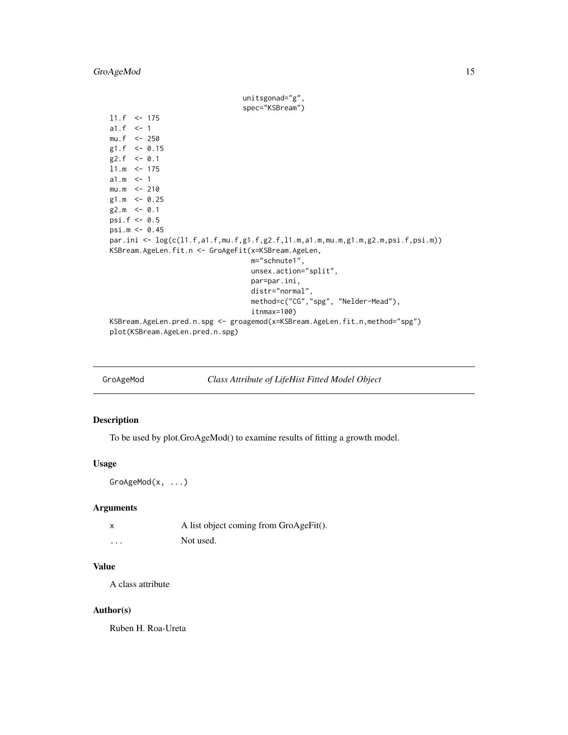<span id="page-14-0"></span>unitsgonad="g", spec="KSBream") l1.f <- 175 a1. $f \le -1$  $mu.f < -250$ g1.f  $<-0.15$  $g2.f \le -0.1$  $11.m < -175$  $a1.m < -1$  $mu.m < -210$ g1.m  $<-0.25$  $g2.m < -0.1$ psi.f <- 0.5 psi.m <- 0.45 par.ini <- log(c(l1.f,a1.f,mu.f,g1.f,g2.f,l1.m,a1.m,mu.m,g1.m,g2.m,psi.f,psi.m)) KSBream.AgeLen.fit.n <- GroAgeFit(x=KSBream.AgeLen, m="schnute1", unsex.action="split", par=par.ini, distr="normal", method=c("CG","spg", "Nelder-Mead"), itnmax=100) KSBream.AgeLen.pred.n.spg <- groagemod(x=KSBream.AgeLen.fit.n,method="spg") plot(KSBream.AgeLen.pred.n.spg)

GroAgeMod *Class Attribute of LifeHist Fitted Model Object*

# Description

To be used by plot.GroAgeMod() to examine results of fitting a growth model.

#### Usage

GroAgeMod(x, ...)

#### Arguments

|          | A list object coming from GroAgeFit(). |
|----------|----------------------------------------|
| $\cdots$ | Not used.                              |

# Value

A class attribute

#### Author(s)

Ruben H. Roa-Ureta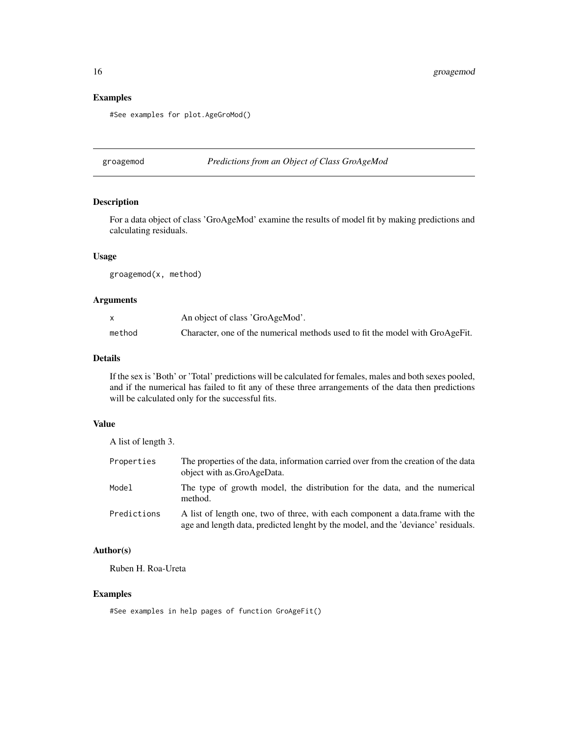# Examples

#See examples for plot.AgeGroMod()

groagemod *Predictions from an Object of Class GroAgeMod*

# Description

For a data object of class 'GroAgeMod' examine the results of model fit by making predictions and calculating residuals.

#### Usage

groagemod(x, method)

# Arguments

|        | An object of class 'GroAgeMod'.                                               |
|--------|-------------------------------------------------------------------------------|
| method | Character, one of the numerical methods used to fit the model with GroAgeFit. |

# Details

If the sex is 'Both' or 'Total' predictions will be calculated for females, males and both sexes pooled, and if the numerical has failed to fit any of these three arrangements of the data then predictions will be calculated only for the successful fits.

#### Value

| The properties of the data, information carried over from the creation of the data<br>object with as GroAgeData.                                                    |
|---------------------------------------------------------------------------------------------------------------------------------------------------------------------|
| The type of growth model, the distribution for the data, and the numerical<br>method.                                                                               |
| A list of length one, two of three, with each component a data. frame with the<br>age and length data, predicted lenght by the model, and the 'deviance' residuals. |
|                                                                                                                                                                     |

# Author(s)

Ruben H. Roa-Ureta

# Examples

#See examples in help pages of function GroAgeFit()

<span id="page-15-0"></span>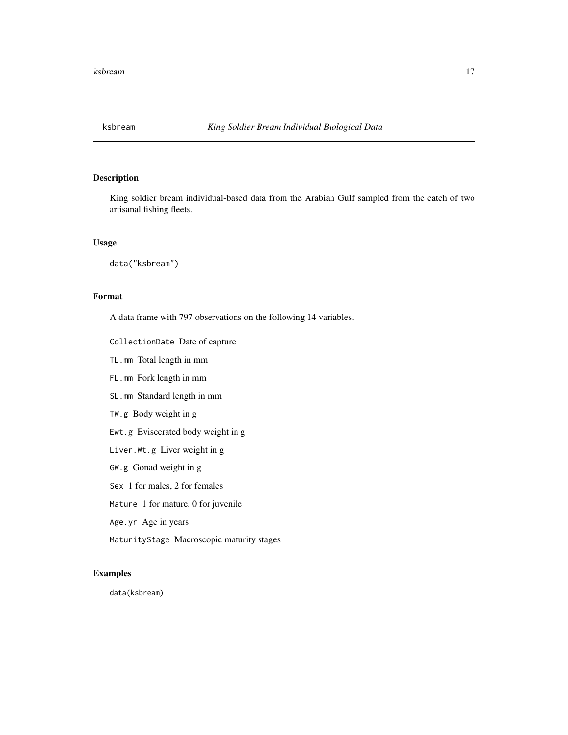<span id="page-16-0"></span>

King soldier bream individual-based data from the Arabian Gulf sampled from the catch of two artisanal fishing fleets.

#### Usage

data("ksbream")

# Format

A data frame with 797 observations on the following 14 variables.

CollectionDate Date of capture

TL.mm Total length in mm

FL.mm Fork length in mm

SL.mm Standard length in mm

TW.g Body weight in g

Ewt.g Eviscerated body weight in g

Liver.Wt.g Liver weight in g

GW.g Gonad weight in g

Sex 1 for males, 2 for females

Mature 1 for mature, 0 for juvenile

Age.yr Age in years

MaturityStage Macroscopic maturity stages

#### Examples

data(ksbream)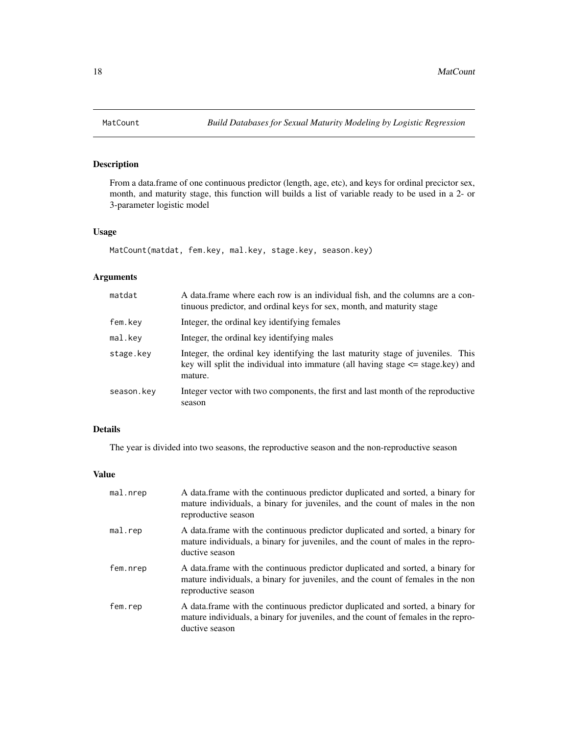From a data.frame of one continuous predictor (length, age, etc), and keys for ordinal precictor sex, month, and maturity stage, this function will builds a list of variable ready to be used in a 2- or 3-parameter logistic model

#### Usage

```
MatCount(matdat, fem.key, mal.key, stage.key, season.key)
```
# Arguments

| A data frame where each row is an individual fish, and the columns are a con-<br>tinuous predictor, and ordinal keys for sex, month, and maturity stage                           |
|-----------------------------------------------------------------------------------------------------------------------------------------------------------------------------------|
| Integer, the ordinal key identifying females                                                                                                                                      |
| Integer, the ordinal key identifying males                                                                                                                                        |
| Integer, the ordinal key identifying the last maturity stage of juveniles. This<br>key will split the individual into immature (all having stage $\leq$ stage.key) and<br>mature. |
| Integer vector with two components, the first and last month of the reproductive<br>season                                                                                        |
|                                                                                                                                                                                   |

# Details

The year is divided into two seasons, the reproductive season and the non-reproductive season

# Value

| mal.nrep | A data.frame with the continuous predictor duplicated and sorted, a binary for<br>mature individuals, a binary for juveniles, and the count of males in the non<br>reproductive season   |
|----------|------------------------------------------------------------------------------------------------------------------------------------------------------------------------------------------|
| mal.rep  | A data frame with the continuous predictor duplicated and sorted, a binary for<br>mature individuals, a binary for juveniles, and the count of males in the repro-<br>ductive season     |
| fem.nrep | A data.frame with the continuous predictor duplicated and sorted, a binary for<br>mature individuals, a binary for juveniles, and the count of females in the non<br>reproductive season |
| fem.rep  | A data frame with the continuous predictor duplicated and sorted, a binary for<br>mature individuals, a binary for juveniles, and the count of females in the repro-<br>ductive season   |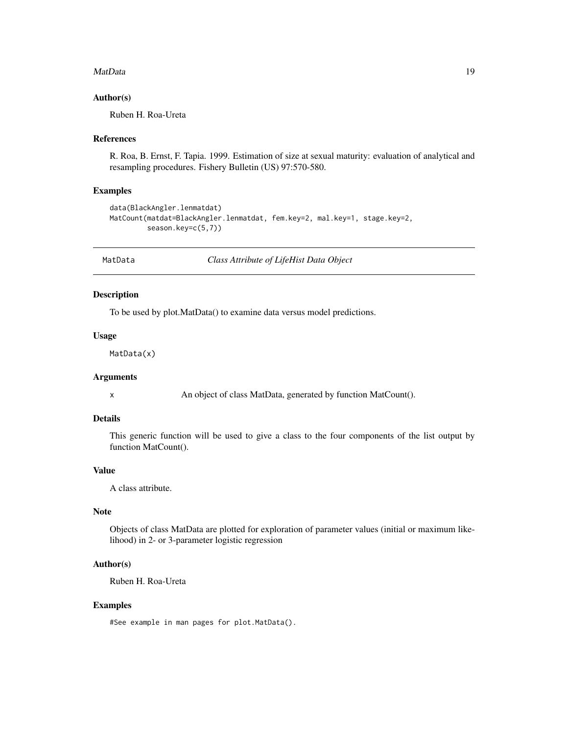#### <span id="page-18-0"></span>MatData 2012 and 2012 and 2012 and 2012 and 2012 and 2012 and 2012 and 2012 and 2012 and 2012 and 2013 and 201

#### Author(s)

Ruben H. Roa-Ureta

#### References

R. Roa, B. Ernst, F. Tapia. 1999. Estimation of size at sexual maturity: evaluation of analytical and resampling procedures. Fishery Bulletin (US) 97:570-580.

#### Examples

```
data(BlackAngler.lenmatdat)
MatCount(matdat=BlackAngler.lenmatdat, fem.key=2, mal.key=1, stage.key=2,
         season.key=c(5,7))
```
MatData *Class Attribute of LifeHist Data Object*

#### Description

To be used by plot.MatData() to examine data versus model predictions.

# Usage

MatData(x)

# Arguments

x An object of class MatData, generated by function MatCount().

# Details

This generic function will be used to give a class to the four components of the list output by function MatCount().

# Value

A class attribute.

#### Note

Objects of class MatData are plotted for exploration of parameter values (initial or maximum likelihood) in 2- or 3-parameter logistic regression

### Author(s)

Ruben H. Roa-Ureta

#### Examples

#See example in man pages for plot.MatData().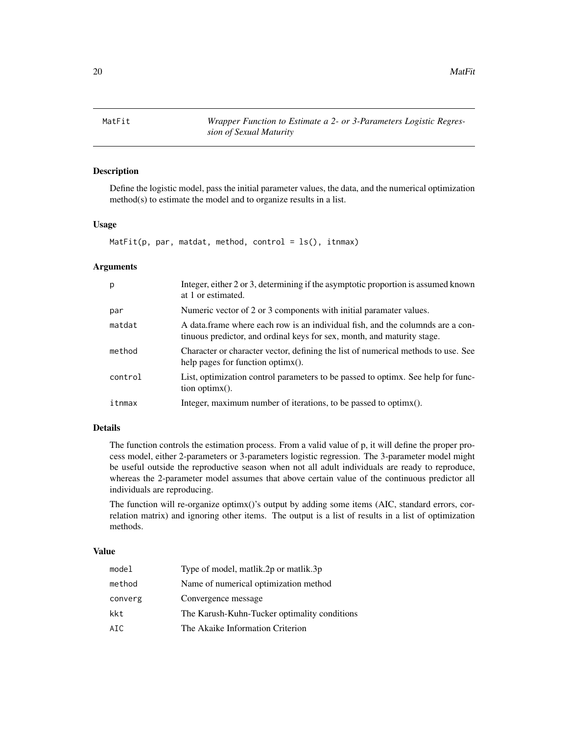<span id="page-19-0"></span>20 and 20 and 20 and 20 and 20 and 20 and 20 and 20 and 20 and 20 and 20 and 20 and 20 and 20 and 20 and 20 and 20 and 20 and 20 and 20 and 20 and 20 and 20 and 20 and 20 and 20 and 20 and 20 and 20 and 20 and 20 and 20 an

MatFit *Wrapper Function to Estimate a 2- or 3-Parameters Logistic Regression of Sexual Maturity*

#### Description

Define the logistic model, pass the initial parameter values, the data, and the numerical optimization method(s) to estimate the model and to organize results in a list.

# Usage

MatFit(p, par, matdat, method, control =  $ls()$ , itnmax)

#### Arguments

| p       | Integer, either 2 or 3, determining if the asymptotic proportion is assumed known<br>at 1 or estimated.                                                   |
|---------|-----------------------------------------------------------------------------------------------------------------------------------------------------------|
| par     | Numeric vector of 2 or 3 components with initial paramater values.                                                                                        |
| matdat  | A data frame where each row is an individual fish, and the columnds are a con-<br>tinuous predictor, and ordinal keys for sex, month, and maturity stage. |
| method  | Character or character vector, defining the list of numerical methods to use. See<br>help pages for function optimx().                                    |
| control | List, optimization control parameters to be passed to optimy. See help for func-<br>$tion$ optimx().                                                      |
| itnmax  | Integer, maximum number of iterations, to be passed to optimx().                                                                                          |

# Details

The function controls the estimation process. From a valid value of p, it will define the proper process model, either 2-parameters or 3-parameters logistic regression. The 3-parameter model might be useful outside the reproductive season when not all adult individuals are ready to reproduce, whereas the 2-parameter model assumes that above certain value of the continuous predictor all individuals are reproducing.

The function will re-organize optimx()'s output by adding some items (AIC, standard errors, correlation matrix) and ignoring other items. The output is a list of results in a list of optimization methods.

# Value

| model   | Type of model, matlik.2p or matlik.3p        |
|---------|----------------------------------------------|
| method  | Name of numerical optimization method        |
| converg | Convergence message                          |
| kkt     | The Karush-Kuhn-Tucker optimality conditions |
| AIC     | The Akaike Information Criterion             |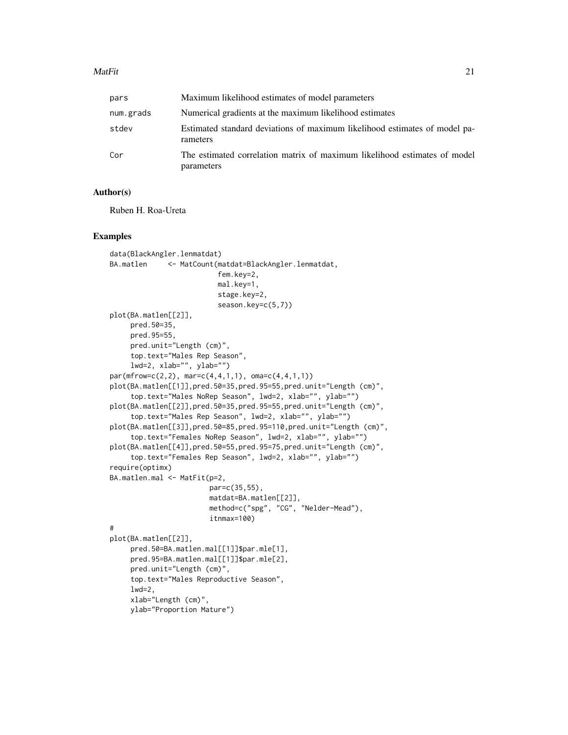#### $\text{MatFit}$  21

| pars      | Maximum likelihood estimates of model parameters                                        |
|-----------|-----------------------------------------------------------------------------------------|
| num.grads | Numerical gradients at the maximum likelihood estimates                                 |
| stdev     | Estimated standard deviations of maximum likelihood estimates of model pa-<br>rameters  |
| Cor       | The estimated correlation matrix of maximum likelihood estimates of model<br>parameters |

#### Author(s)

Ruben H. Roa-Ureta

#### Examples

```
data(BlackAngler.lenmatdat)
BA.matlen <- MatCount(matdat=BlackAngler.lenmatdat,
                          fem.key=2,
                          mal.key=1,
                          stage.key=2,
                          season.key=c(5,7))
plot(BA.matlen[[2]],
    pred.50=35,
    pred.95=55,
    pred.unit="Length (cm)",
     top.text="Males Rep Season",
     lwd=2, xlab="", ylab="")
par(mfrow=c(2,2), mar=c(4,4,1,1), oma=c(4,4,1,1))
plot(BA.matlen[[1]],pred.50=35,pred.95=55,pred.unit="Length (cm)",
     top.text="Males NoRep Season", lwd=2, xlab="", ylab="")
plot(BA.matlen[[2]],pred.50=35,pred.95=55,pred.unit="Length (cm)",
     top.text="Males Rep Season", lwd=2, xlab="", ylab="")
plot(BA.matlen[[3]],pred.50=85,pred.95=110,pred.unit="Length (cm)",
     top.text="Females NoRep Season", lwd=2, xlab="", ylab="")
plot(BA.matlen[[4]],pred.50=55,pred.95=75,pred.unit="Length (cm)",
     top.text="Females Rep Season", lwd=2, xlab="", ylab="")
require(optimx)
BA.matlen.mal <- MatFit(p=2,
                        par=c(35,55),
                        matdat=BA.matlen[[2]],
                        method=c("spg", "CG", "Nelder-Mead"),
                        itnmax=100)
#
plot(BA.matlen[[2]],
     pred.50=BA.matlen.mal[[1]]$par.mle[1],
     pred.95=BA.matlen.mal[[1]]$par.mle[2],
     pred.unit="Length (cm)",
     top.text="Males Reproductive Season",
     1wd=2,
     xlab="Length (cm)",
    ylab="Proportion Mature")
```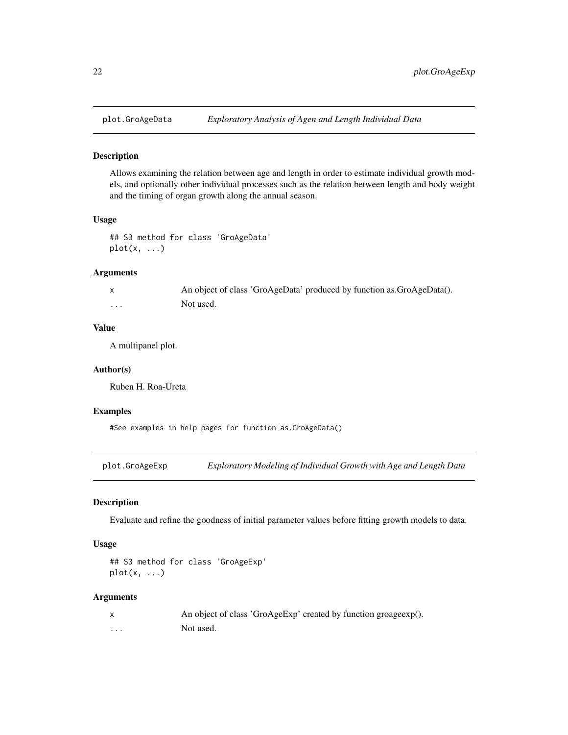<span id="page-21-0"></span>

Allows examining the relation between age and length in order to estimate individual growth models, and optionally other individual processes such as the relation between length and body weight and the timing of organ growth along the annual season.

#### Usage

```
## S3 method for class 'GroAgeData'
plot(x, \ldots)
```
# Arguments

|          | An object of class 'GroAgeData' produced by function as GroAgeData(). |
|----------|-----------------------------------------------------------------------|
| $\cdots$ | Not used.                                                             |

#### Value

A multipanel plot.

#### Author(s)

Ruben H. Roa-Ureta

#### Examples

#See examples in help pages for function as.GroAgeData()

plot.GroAgeExp *Exploratory Modeling of Individual Growth with Age and Length Data*

#### Description

Evaluate and refine the goodness of initial parameter values before fitting growth models to data.

#### Usage

```
## S3 method for class 'GroAgeExp'
plot(x, \ldots)
```
# Arguments

|   | An object of class 'GroAgeExp' created by function groageexp(). |
|---|-----------------------------------------------------------------|
| . | Not used.                                                       |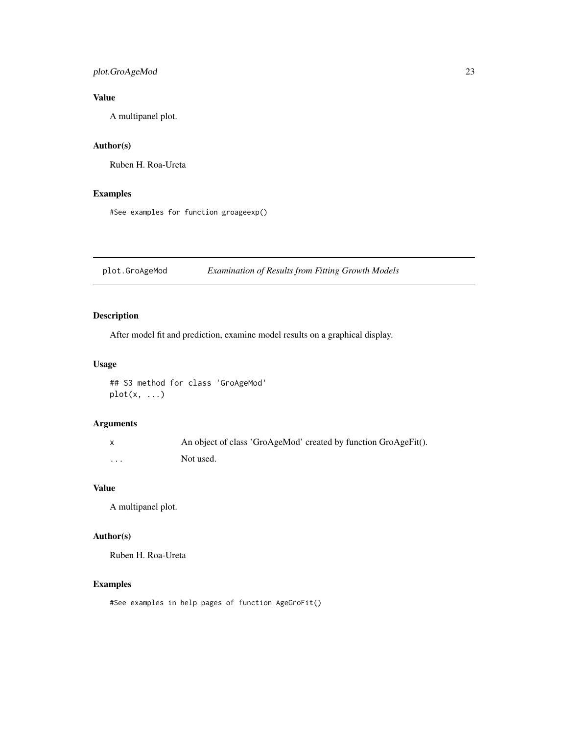# <span id="page-22-0"></span>plot.GroAgeMod 23

# Value

A multipanel plot.

# Author(s)

Ruben H. Roa-Ureta

# Examples

#See examples for function groageexp()

plot.GroAgeMod *Examination of Results from Fitting Growth Models*

# Description

After model fit and prediction, examine model results on a graphical display.

# Usage

```
## S3 method for class 'GroAgeMod'
plot(x, ...)
```
# Arguments

|   | An object of class 'GroAgeMod' created by function GroAgeFit(). |
|---|-----------------------------------------------------------------|
| . | Not used.                                                       |

# Value

A multipanel plot.

# Author(s)

Ruben H. Roa-Ureta

# Examples

#See examples in help pages of function AgeGroFit()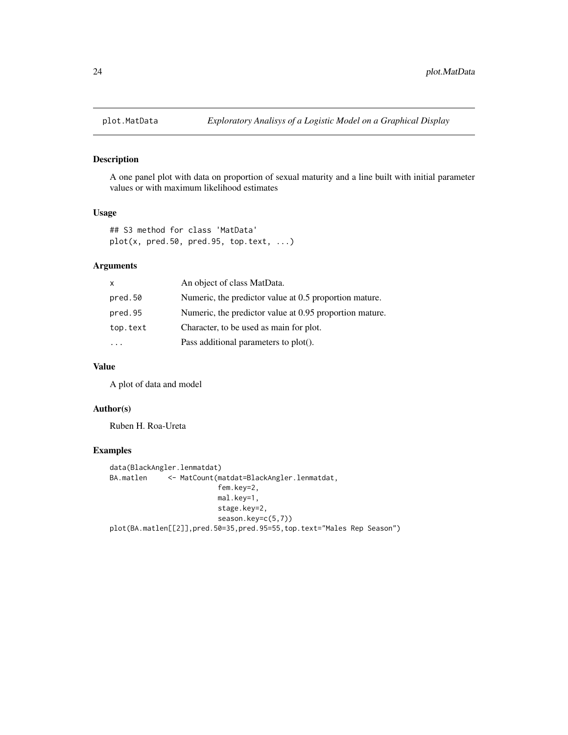<span id="page-23-0"></span>

A one panel plot with data on proportion of sexual maturity and a line built with initial parameter values or with maximum likelihood estimates

#### Usage

```
## S3 method for class 'MatData'
plot(x, pred.50, pred.95, top.text, ...)
```
# Arguments

| X        | An object of class MatData.                             |
|----------|---------------------------------------------------------|
| pred.50  | Numeric, the predictor value at 0.5 proportion mature.  |
| pred.95  | Numeric, the predictor value at 0.95 proportion mature. |
| top.text | Character, to be used as main for plot.                 |
|          | Pass additional parameters to plot().                   |

# Value

A plot of data and model

# Author(s)

Ruben H. Roa-Ureta

# Examples

```
data(BlackAngler.lenmatdat)
BA.matlen <- MatCount(matdat=BlackAngler.lenmatdat,
                         fem.key=2,
                         mal.key=1,
                         stage.key=2,
                         season.key=c(5,7))
plot(BA.matlen[[2]],pred.50=35,pred.95=55,top.text="Males Rep Season")
```